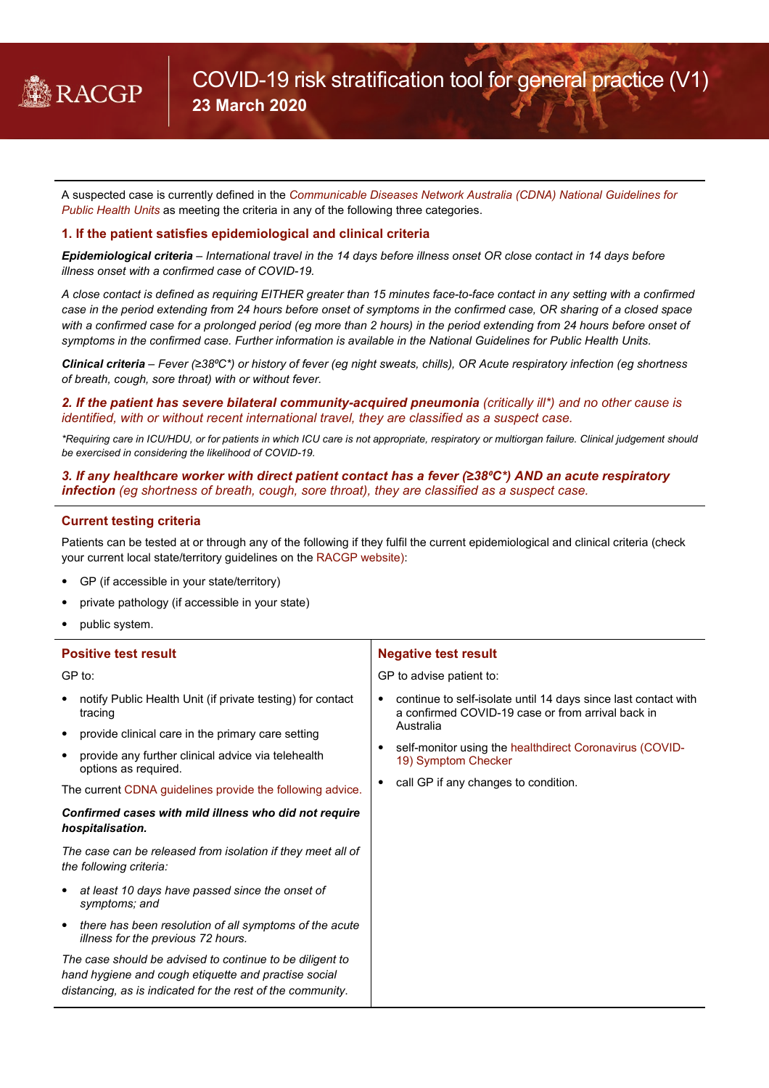

A suspected case is currently defined in the *[Communicable Diseases Network Australia \(CDNA\) National Guidelines for](https://www1.health.gov.au/internet/main/publishing.nsf/Content/cdna-song-novel-coronavirus.htm)  [Public Health Units](https://www1.health.gov.au/internet/main/publishing.nsf/Content/cdna-song-novel-coronavirus.htm)* as meeting the criteria in any of the following three categories.

## **1. If the patient satisfies epidemiological and clinical criteria**

*Epidemiological criteria – International travel in the 14 days before illness onset OR close contact in 14 days before illness onset with a confirmed case of COVID-19.*

*A close contact is defined as requiring EITHER greater than 15 minutes face-to-face contact in any setting with a confirmed case in the period extending from 24 hours before onset of symptoms in the confirmed case, OR sharing of a closed space with a confirmed case for a prolonged period (eg more than 2 hours) in the period extending from 24 hours before onset of symptoms in the confirmed case. Further information is available in the National Guidelines for Public Health Units.*

*Clinical criteria – Fever (≥38⁰C\*) or history of fever (eg night sweats, chills), OR Acute respiratory infection (eg shortness of breath, cough, sore throat) with or without fever.*

*2. If the patient has severe bilateral community-acquired pneumonia (critically ill\*) and no other cause is identified, with or without recent international travel, they are classified as a suspect case.*

*\*Requiring care in ICU/HDU, or for patients in which ICU care is not appropriate, respiratory or multiorgan failure. Clinical judgement should be exercised in considering the likelihood of COVID-19.*

*3. If any healthcare worker with direct patient contact has a fever (≥38⁰C\*) AND an acute respiratory infection (eg shortness of breath, cough, sore throat), they are classified as a suspect case.*

## **Current testing criteria**

Patients can be tested at or through any of the following if they fulfil the current epidemiological and clinical criteria (check your current local state/territory guidelines on th[e RACGP website\)](https://www.racgp.org.au/coronavirus):

- GP (if accessible in your state/territory)
- private pathology (if accessible in your state)
- public system.

| <b>Positive test result</b>                                                                                                                                                    | <b>Negative test result</b>                                                                                              |
|--------------------------------------------------------------------------------------------------------------------------------------------------------------------------------|--------------------------------------------------------------------------------------------------------------------------|
| GP to:                                                                                                                                                                         | GP to advise patient to:                                                                                                 |
| notify Public Health Unit (if private testing) for contact<br>$\bullet$<br>tracing                                                                                             | continue to self-isolate until 14 days since last contact with<br>٠<br>a confirmed COVID-19 case or from arrival back in |
| provide clinical care in the primary care setting<br>$\bullet$                                                                                                                 | Australia                                                                                                                |
| provide any further clinical advice via telehealth<br>٠<br>options as required.                                                                                                | self-monitor using the healthdirect Coronavirus (COVID-<br>19) Symptom Checker                                           |
| The current CDNA guidelines provide the following advice.                                                                                                                      | call GP if any changes to condition.                                                                                     |
| Confirmed cases with mild illness who did not require<br>hospitalisation.                                                                                                      |                                                                                                                          |
| The case can be released from isolation if they meet all of<br>the following criteria:                                                                                         |                                                                                                                          |
| at least 10 days have passed since the onset of<br>٠<br>symptoms; and                                                                                                          |                                                                                                                          |
| there has been resolution of all symptoms of the acute<br>$\bullet$<br>illness for the previous 72 hours.                                                                      |                                                                                                                          |
| The case should be advised to continue to be diligent to<br>hand hygiene and cough etiquette and practise social<br>distancing, as is indicated for the rest of the community. |                                                                                                                          |